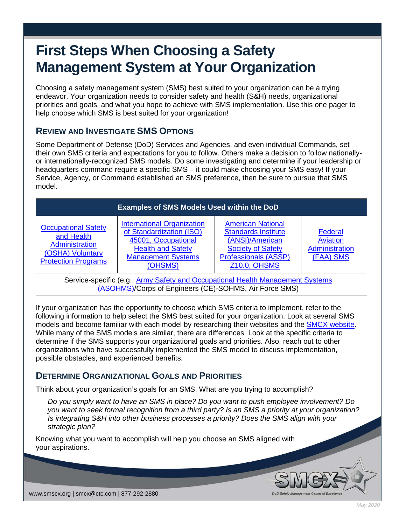# **First Steps When Choosing a Safety Management System at Your Organization**

Choosing a safety management system (SMS) best suited to your organization can be a trying endeavor. Your organization needs to consider safety and health (S&H) needs, organizational priorities and goals, and what you hope to achieve with SMS implementation. Use this one pager to help choose which SMS is best suited for your organization!

## **REVIEW AND INVESTIGATE SMS OPTIONS**

Some Department of Defense (DoD) Services and Agencies, and even individual Commands, set their own SMS criteria and expectations for you to follow. Others make a decision to follow nationallyor internationally-recognized SMS models. Do some investigating and determine if your leadership or headquarters command require a specific SMS – it could make choosing your SMS easy! If your Service, Agency, or Command established an SMS preference, then be sure to pursue that SMS model.

| <b>Examples of SMS Models Used within the DoD</b>                                                                                        |                                                                                                                                                          |                                                                                                                                                             |                                                    |
|------------------------------------------------------------------------------------------------------------------------------------------|----------------------------------------------------------------------------------------------------------------------------------------------------------|-------------------------------------------------------------------------------------------------------------------------------------------------------------|----------------------------------------------------|
| <b>Occupational Safety</b><br>and Health<br>Administration<br>(OSHA) Voluntary<br><b>Protection Programs</b>                             | <b>International Organization</b><br>of Standardization (ISO)<br>45001, Occupational<br><b>Health and Safety</b><br><b>Management Systems</b><br>(OHSMS) | <b>American National</b><br><b>Standards Institute</b><br>(ANSI)/American<br><b>Society of Safety</b><br><b>Professionals (ASSP)</b><br><b>Z10.0, OHSMS</b> | Federal<br>Aviation<br>Administration<br>(FAA) SMS |
| Service-specific (e.g., Army Safety and Occupational Health Management Systems<br>(ASOHMS)/Corps of Engineers (CE)-SOHMS, Air Force SMS) |                                                                                                                                                          |                                                                                                                                                             |                                                    |

If your organization has the opportunity to choose which SMS criteria to implement, refer to the following information to help select the SMS best suited for your organization. Look at several SMS models and become familiar with each model by researching their websites and the **SMCX website**. While many of the SMS models are similar, there are differences. Look at the specific criteria to determine if the SMS supports your organizational goals and priorities. Also, reach out to other organizations who have successfully implemented the SMS model to discuss implementation, possible obstacles, and experienced benefits.

### **DETERMINE ORGANIZATIONAL GOALS AND PRIORITIES**

Think about your organization's goals for an SMS. What are you trying to accomplish?

*Do you simply want to have an SMS in place? Do you want to push employee involvement? Do you want to seek formal recognition from a third party? Is an SMS a priority at your organization? Is integrating S&H into other business processes a priority? Does the SMS align with your strategic plan?*

Knowing what you want to accomplish will help you choose an SMS aligned with your aspirations.